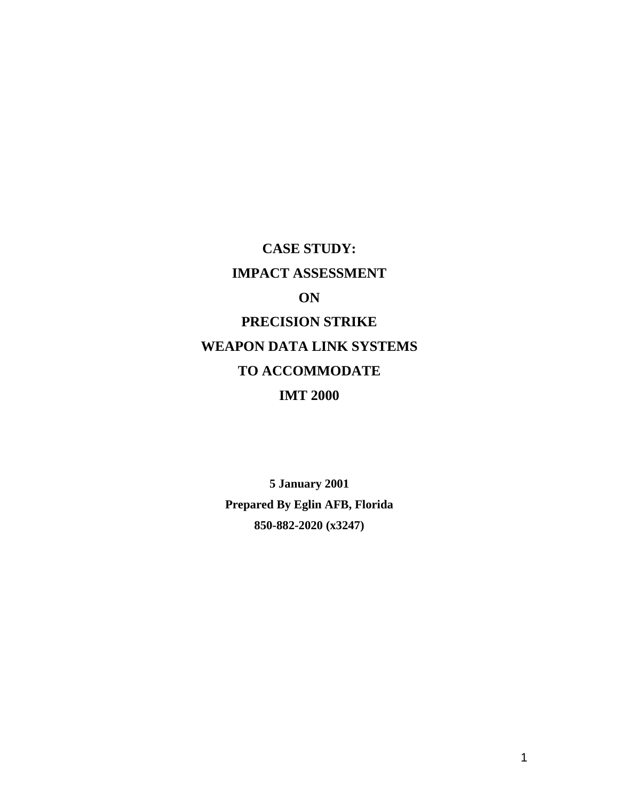**CASE STUDY: IMPACT ASSESSMENT ON PRECISION STRIKE WEAPON DATA LINK SYSTEMS TO ACCOMMODATE IMT 2000**

> **5 January 2001 Prepared By Eglin AFB, Florida 850-882-2020 (x3247)**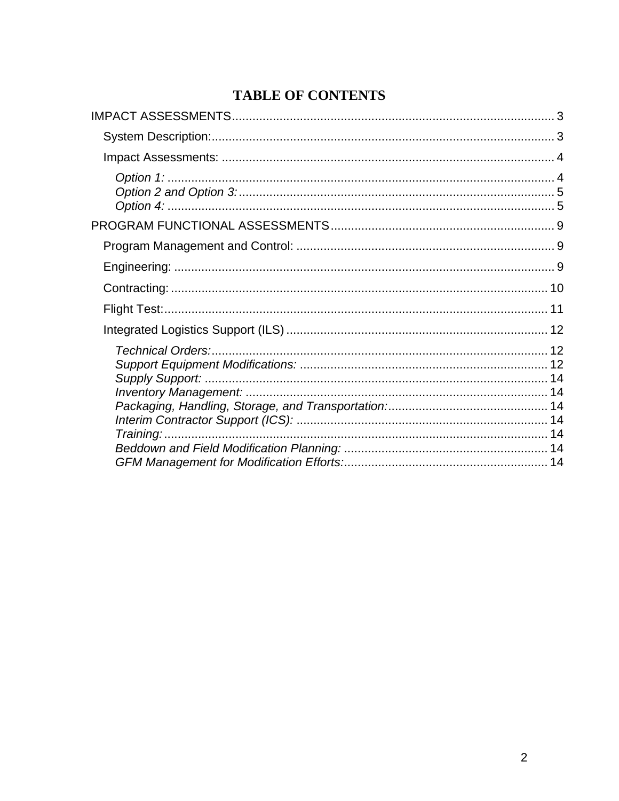# **TABLE OF CONTENTS**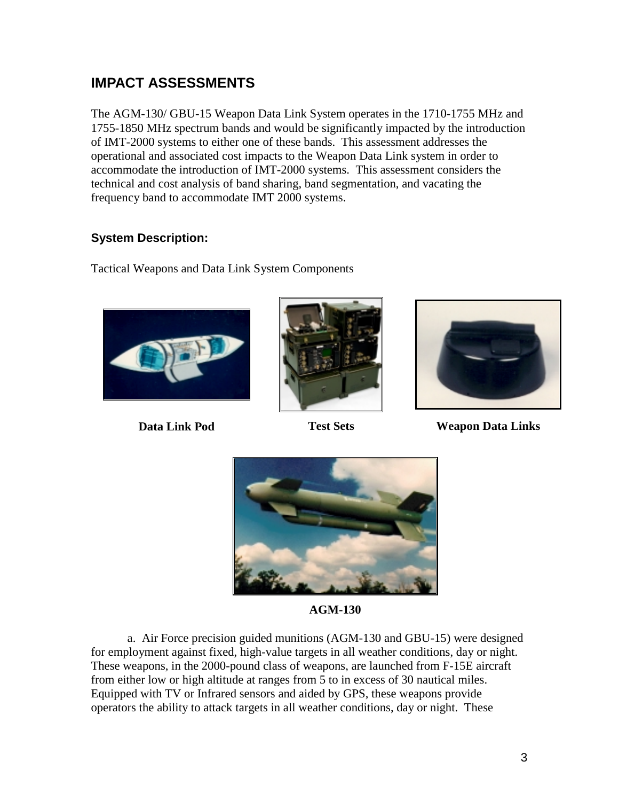# <span id="page-2-0"></span>**IMPACT ASSESSMENTS**

The AGM-130/ GBU-15 Weapon Data Link System operates in the 1710-1755 MHz and 1755-1850 MHz spectrum bands and would be significantly impacted by the introduction of IMT-2000 systems to either one of these bands. This assessment addresses the operational and associated cost impacts to the Weapon Data Link system in order to accommodate the introduction of IMT-2000 systems. This assessment considers the technical and cost analysis of band sharing, band segmentation, and vacating the frequency band to accommodate IMT 2000 systems.

## **System Description:**

Tactical Weapons and Data Link System Components







**Data Link Pod Test Sets Weapon Data Links**



**AGM-130**

a. Air Force precision guided munitions (AGM-130 and GBU-15) were designed for employment against fixed, high-value targets in all weather conditions, day or night. These weapons, in the 2000-pound class of weapons, are launched from F-15E aircraft from either low or high altitude at ranges from 5 to in excess of 30 nautical miles. Equipped with TV or Infrared sensors and aided by GPS, these weapons provide operators the ability to attack targets in all weather conditions, day or night. These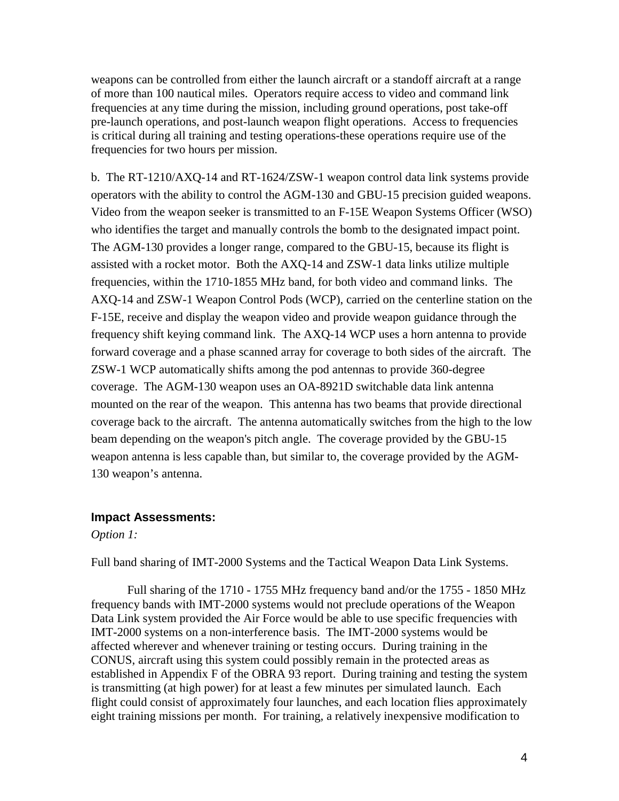<span id="page-3-0"></span>weapons can be controlled from either the launch aircraft or a standoff aircraft at a range of more than 100 nautical miles. Operators require access to video and command link frequencies at any time during the mission, including ground operations, post take-off pre-launch operations, and post-launch weapon flight operations. Access to frequencies is critical during all training and testing operations-these operations require use of the frequencies for two hours per mission.

b. The RT-1210/AXQ-14 and RT-1624/ZSW-1 weapon control data link systems provide operators with the ability to control the AGM-130 and GBU-15 precision guided weapons. Video from the weapon seeker is transmitted to an F-15E Weapon Systems Officer (WSO) who identifies the target and manually controls the bomb to the designated impact point. The AGM-130 provides a longer range, compared to the GBU-15, because its flight is assisted with a rocket motor. Both the AXQ-14 and ZSW-1 data links utilize multiple frequencies, within the 1710-1855 MHz band, for both video and command links. The AXQ-14 and ZSW-1 Weapon Control Pods (WCP), carried on the centerline station on the F-15E, receive and display the weapon video and provide weapon guidance through the frequency shift keying command link. The AXQ-14 WCP uses a horn antenna to provide forward coverage and a phase scanned array for coverage to both sides of the aircraft. The ZSW-1 WCP automatically shifts among the pod antennas to provide 360-degree coverage. The AGM-130 weapon uses an OA-8921D switchable data link antenna mounted on the rear of the weapon. This antenna has two beams that provide directional coverage back to the aircraft. The antenna automatically switches from the high to the low beam depending on the weapon's pitch angle. The coverage provided by the GBU-15 weapon antenna is less capable than, but similar to, the coverage provided by the AGM-130 weapon's antenna.

#### **Impact Assessments:**

*Option 1:*

Full band sharing of IMT-2000 Systems and the Tactical Weapon Data Link Systems.

Full sharing of the 1710 - 1755 MHz frequency band and/or the 1755 - 1850 MHz frequency bands with IMT-2000 systems would not preclude operations of the Weapon Data Link system provided the Air Force would be able to use specific frequencies with IMT-2000 systems on a non-interference basis. The IMT-2000 systems would be affected wherever and whenever training or testing occurs. During training in the CONUS, aircraft using this system could possibly remain in the protected areas as established in Appendix F of the OBRA 93 report. During training and testing the system is transmitting (at high power) for at least a few minutes per simulated launch. Each flight could consist of approximately four launches, and each location flies approximately eight training missions per month. For training, a relatively inexpensive modification to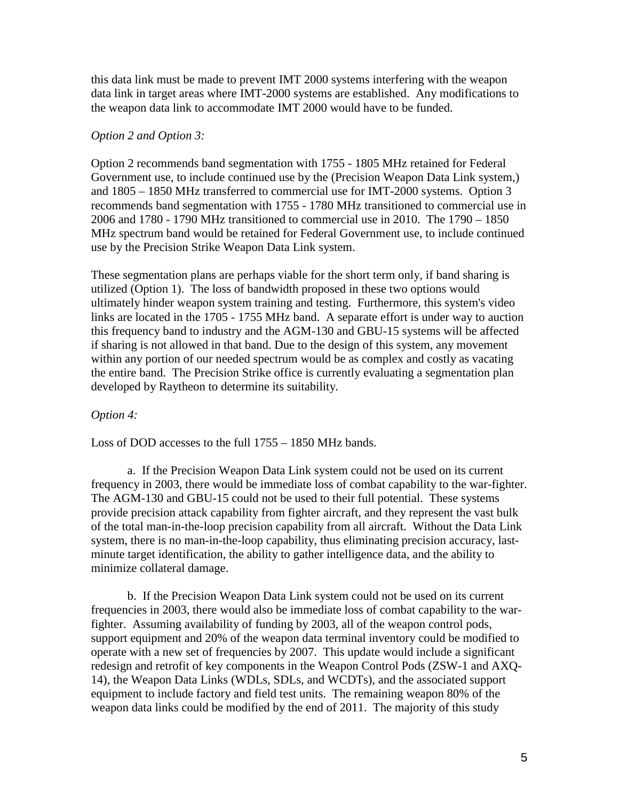<span id="page-4-0"></span>this data link must be made to prevent IMT 2000 systems interfering with the weapon data link in target areas where IMT-2000 systems are established. Any modifications to the weapon data link to accommodate IMT 2000 would have to be funded.

#### *Option 2 and Option 3:*

Option 2 recommends band segmentation with 1755 - 1805 MHz retained for Federal Government use, to include continued use by the (Precision Weapon Data Link system,) and 1805 – 1850 MHz transferred to commercial use for IMT-2000 systems. Option 3 recommends band segmentation with 1755 - 1780 MHz transitioned to commercial use in 2006 and 1780 - 1790 MHz transitioned to commercial use in 2010. The 1790 – 1850 MHz spectrum band would be retained for Federal Government use, to include continued use by the Precision Strike Weapon Data Link system.

These segmentation plans are perhaps viable for the short term only, if band sharing is utilized (Option 1). The loss of bandwidth proposed in these two options would ultimately hinder weapon system training and testing. Furthermore, this system's video links are located in the 1705 - 1755 MHz band. A separate effort is under way to auction this frequency band to industry and the AGM-130 and GBU-15 systems will be affected if sharing is not allowed in that band. Due to the design of this system, any movement within any portion of our needed spectrum would be as complex and costly as vacating the entire band. The Precision Strike office is currently evaluating a segmentation plan developed by Raytheon to determine its suitability.

### *Option 4:*

Loss of DOD accesses to the full 1755 – 1850 MHz bands.

a. If the Precision Weapon Data Link system could not be used on its current frequency in 2003, there would be immediate loss of combat capability to the war-fighter. The AGM-130 and GBU-15 could not be used to their full potential. These systems provide precision attack capability from fighter aircraft, and they represent the vast bulk of the total man-in-the-loop precision capability from all aircraft. Without the Data Link system, there is no man-in-the-loop capability, thus eliminating precision accuracy, lastminute target identification, the ability to gather intelligence data, and the ability to minimize collateral damage.

b. If the Precision Weapon Data Link system could not be used on its current frequencies in 2003, there would also be immediate loss of combat capability to the warfighter. Assuming availability of funding by 2003, all of the weapon control pods, support equipment and 20% of the weapon data terminal inventory could be modified to operate with a new set of frequencies by 2007. This update would include a significant redesign and retrofit of key components in the Weapon Control Pods (ZSW-1 and AXQ-14), the Weapon Data Links (WDLs, SDLs, and WCDTs), and the associated support equipment to include factory and field test units. The remaining weapon 80% of the weapon data links could be modified by the end of 2011. The majority of this study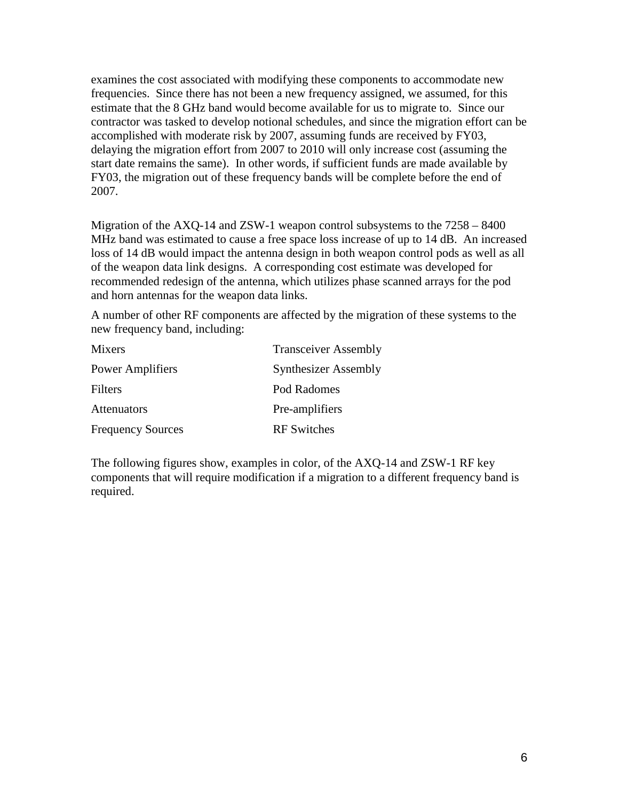examines the cost associated with modifying these components to accommodate new frequencies. Since there has not been a new frequency assigned, we assumed, for this estimate that the 8 GHz band would become available for us to migrate to. Since our contractor was tasked to develop notional schedules, and since the migration effort can be accomplished with moderate risk by 2007, assuming funds are received by FY03, delaying the migration effort from 2007 to 2010 will only increase cost (assuming the start date remains the same). In other words, if sufficient funds are made available by FY03, the migration out of these frequency bands will be complete before the end of 2007.

Migration of the AXQ-14 and ZSW-1 weapon control subsystems to the 7258 – 8400 MHz band was estimated to cause a free space loss increase of up to 14 dB. An increased loss of 14 dB would impact the antenna design in both weapon control pods as well as all of the weapon data link designs. A corresponding cost estimate was developed for recommended redesign of the antenna, which utilizes phase scanned arrays for the pod and horn antennas for the weapon data links.

A number of other RF components are affected by the migration of these systems to the new frequency band, including:

| Mixers                   | <b>Transceiver Assembly</b> |
|--------------------------|-----------------------------|
| <b>Power Amplifiers</b>  | <b>Synthesizer Assembly</b> |
| Filters                  | Pod Radomes                 |
| Attenuators              | Pre-amplifiers              |
| <b>Frequency Sources</b> | <b>RF</b> Switches          |

The following figures show, examples in color, of the AXQ-14 and ZSW-1 RF key components that will require modification if a migration to a different frequency band is required.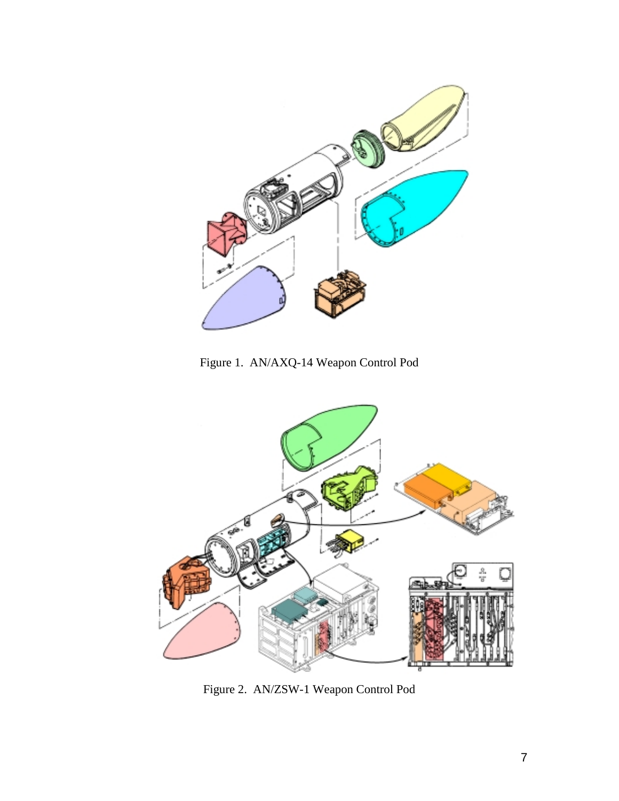

Figure 1. AN/AXQ-14 Weapon Control Pod



Figure 2. AN/ZSW-1 Weapon Control Pod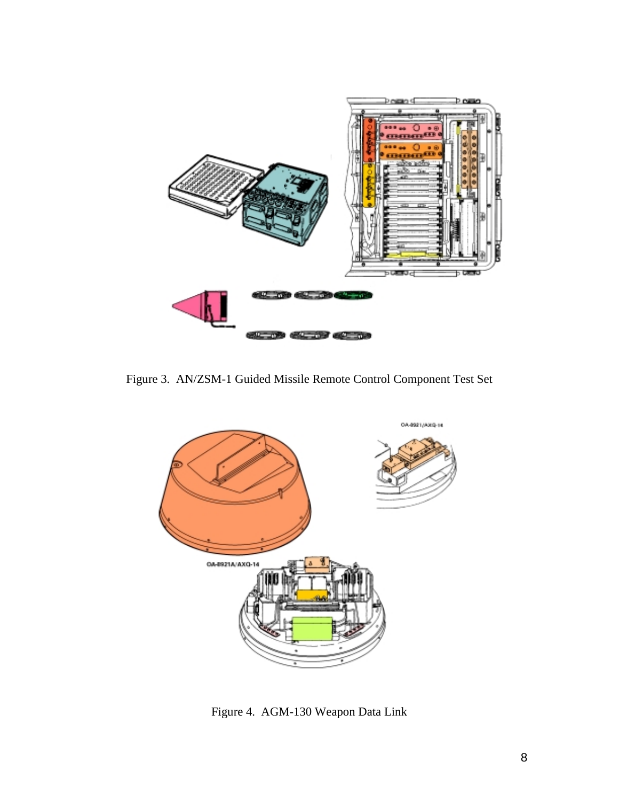

Figure 3. AN/ZSM-1 Guided Missile Remote Control Component Test Set



Figure 4. AGM-130 Weapon Data Link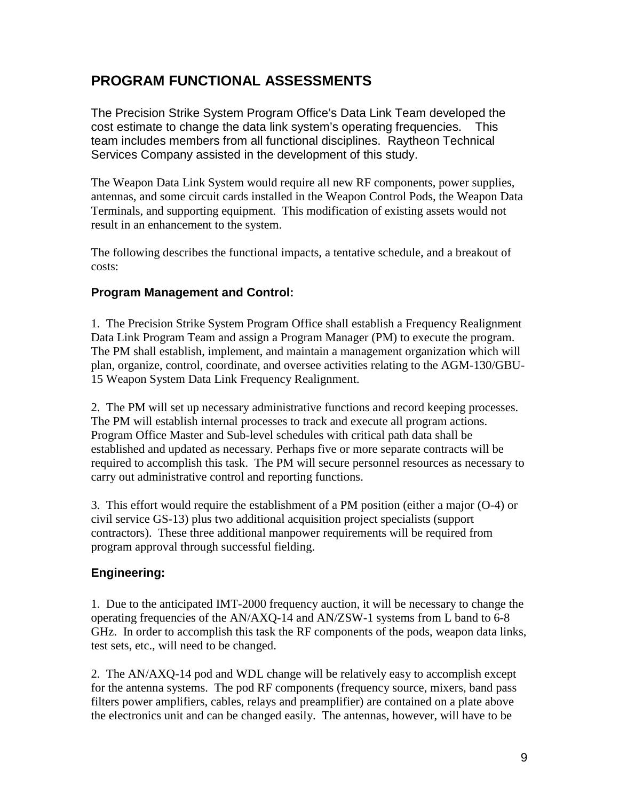## <span id="page-8-0"></span>**PROGRAM FUNCTIONAL ASSESSMENTS**

The Precision Strike System Program Office's Data Link Team developed the cost estimate to change the data link system's operating frequencies. This team includes members from all functional disciplines. Raytheon Technical Services Company assisted in the development of this study.

The Weapon Data Link System would require all new RF components, power supplies, antennas, and some circuit cards installed in the Weapon Control Pods, the Weapon Data Terminals, and supporting equipment. This modification of existing assets would not result in an enhancement to the system.

The following describes the functional impacts, a tentative schedule, and a breakout of costs:

### **Program Management and Control:**

1. The Precision Strike System Program Office shall establish a Frequency Realignment Data Link Program Team and assign a Program Manager (PM) to execute the program. The PM shall establish, implement, and maintain a management organization which will plan, organize, control, coordinate, and oversee activities relating to the AGM-130/GBU-15 Weapon System Data Link Frequency Realignment.

2. The PM will set up necessary administrative functions and record keeping processes. The PM will establish internal processes to track and execute all program actions. Program Office Master and Sub-level schedules with critical path data shall be established and updated as necessary. Perhaps five or more separate contracts will be required to accomplish this task. The PM will secure personnel resources as necessary to carry out administrative control and reporting functions.

3. This effort would require the establishment of a PM position (either a major (O-4) or civil service GS-13) plus two additional acquisition project specialists (support contractors). These three additional manpower requirements will be required from program approval through successful fielding.

### **Engineering:**

1. Due to the anticipated IMT-2000 frequency auction, it will be necessary to change the operating frequencies of the AN/AXQ-14 and AN/ZSW-1 systems from L band to 6-8 GHz. In order to accomplish this task the RF components of the pods, weapon data links, test sets, etc., will need to be changed.

2. The AN/AXQ-14 pod and WDL change will be relatively easy to accomplish except for the antenna systems. The pod RF components (frequency source, mixers, band pass filters power amplifiers, cables, relays and preamplifier) are contained on a plate above the electronics unit and can be changed easily. The antennas, however, will have to be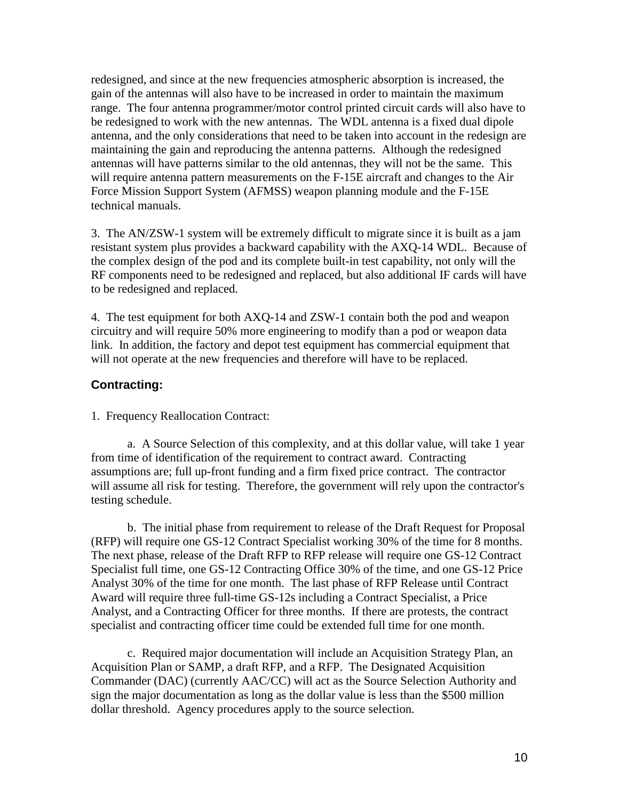<span id="page-9-0"></span>redesigned, and since at the new frequencies atmospheric absorption is increased, the gain of the antennas will also have to be increased in order to maintain the maximum range. The four antenna programmer/motor control printed circuit cards will also have to be redesigned to work with the new antennas. The WDL antenna is a fixed dual dipole antenna, and the only considerations that need to be taken into account in the redesign are maintaining the gain and reproducing the antenna patterns. Although the redesigned antennas will have patterns similar to the old antennas, they will not be the same. This will require antenna pattern measurements on the F-15E aircraft and changes to the Air Force Mission Support System (AFMSS) weapon planning module and the F-15E technical manuals.

3. The AN/ZSW-1 system will be extremely difficult to migrate since it is built as a jam resistant system plus provides a backward capability with the AXQ-14 WDL. Because of the complex design of the pod and its complete built-in test capability, not only will the RF components need to be redesigned and replaced, but also additional IF cards will have to be redesigned and replaced.

4. The test equipment for both AXQ-14 and ZSW-1 contain both the pod and weapon circuitry and will require 50% more engineering to modify than a pod or weapon data link. In addition, the factory and depot test equipment has commercial equipment that will not operate at the new frequencies and therefore will have to be replaced.

## **Contracting:**

1. Frequency Reallocation Contract:

a. A Source Selection of this complexity, and at this dollar value, will take 1 year from time of identification of the requirement to contract award. Contracting assumptions are; full up-front funding and a firm fixed price contract. The contractor will assume all risk for testing. Therefore, the government will rely upon the contractor's testing schedule.

b. The initial phase from requirement to release of the Draft Request for Proposal (RFP) will require one GS-12 Contract Specialist working 30% of the time for 8 months. The next phase, release of the Draft RFP to RFP release will require one GS-12 Contract Specialist full time, one GS-12 Contracting Office 30% of the time, and one GS-12 Price Analyst 30% of the time for one month. The last phase of RFP Release until Contract Award will require three full-time GS-12s including a Contract Specialist, a Price Analyst, and a Contracting Officer for three months. If there are protests, the contract specialist and contracting officer time could be extended full time for one month.

c. Required major documentation will include an Acquisition Strategy Plan, an Acquisition Plan or SAMP, a draft RFP, and a RFP. The Designated Acquisition Commander (DAC) (currently AAC/CC) will act as the Source Selection Authority and sign the major documentation as long as the dollar value is less than the \$500 million dollar threshold. Agency procedures apply to the source selection.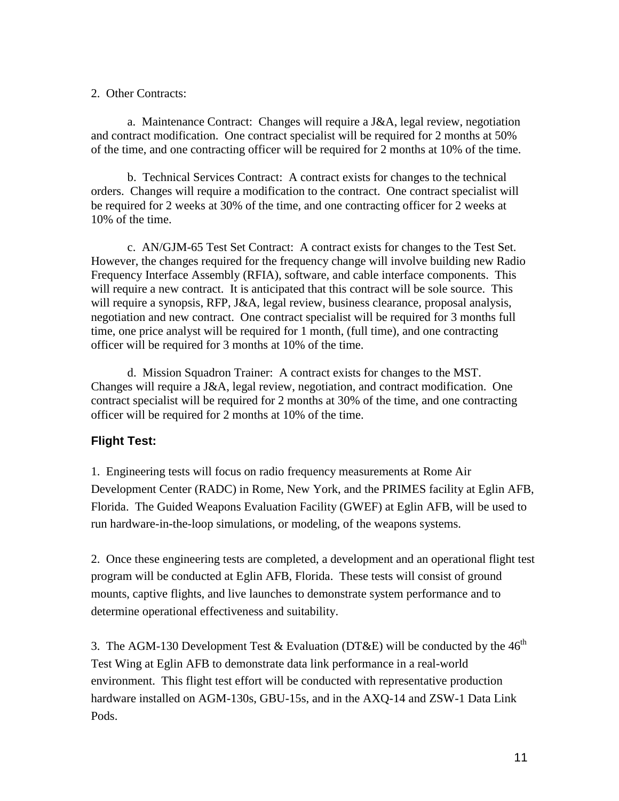#### <span id="page-10-0"></span>2. Other Contracts:

a. Maintenance Contract: Changes will require a J&A, legal review, negotiation and contract modification. One contract specialist will be required for 2 months at 50% of the time, and one contracting officer will be required for 2 months at 10% of the time.

b. Technical Services Contract: A contract exists for changes to the technical orders. Changes will require a modification to the contract. One contract specialist will be required for 2 weeks at 30% of the time, and one contracting officer for 2 weeks at 10% of the time.

c. AN/GJM-65 Test Set Contract: A contract exists for changes to the Test Set. However, the changes required for the frequency change will involve building new Radio Frequency Interface Assembly (RFIA), software, and cable interface components. This will require a new contract. It is anticipated that this contract will be sole source. This will require a synopsis, RFP, J&A, legal review, business clearance, proposal analysis, negotiation and new contract. One contract specialist will be required for 3 months full time, one price analyst will be required for 1 month, (full time), and one contracting officer will be required for 3 months at 10% of the time.

d. Mission Squadron Trainer: A contract exists for changes to the MST. Changes will require a J&A, legal review, negotiation, and contract modification. One contract specialist will be required for 2 months at 30% of the time, and one contracting officer will be required for 2 months at 10% of the time.

## **Flight Test:**

1. Engineering tests will focus on radio frequency measurements at Rome Air Development Center (RADC) in Rome, New York, and the PRIMES facility at Eglin AFB, Florida. The Guided Weapons Evaluation Facility (GWEF) at Eglin AFB, will be used to run hardware-in-the-loop simulations, or modeling, of the weapons systems.

2. Once these engineering tests are completed, a development and an operational flight test program will be conducted at Eglin AFB, Florida. These tests will consist of ground mounts, captive flights, and live launches to demonstrate system performance and to determine operational effectiveness and suitability.

3. The AGM-130 Development Test & Evaluation (DT&E) will be conducted by the  $46<sup>th</sup>$ Test Wing at Eglin AFB to demonstrate data link performance in a real-world environment. This flight test effort will be conducted with representative production hardware installed on AGM-130s, GBU-15s, and in the AXQ-14 and ZSW-1 Data Link Pods.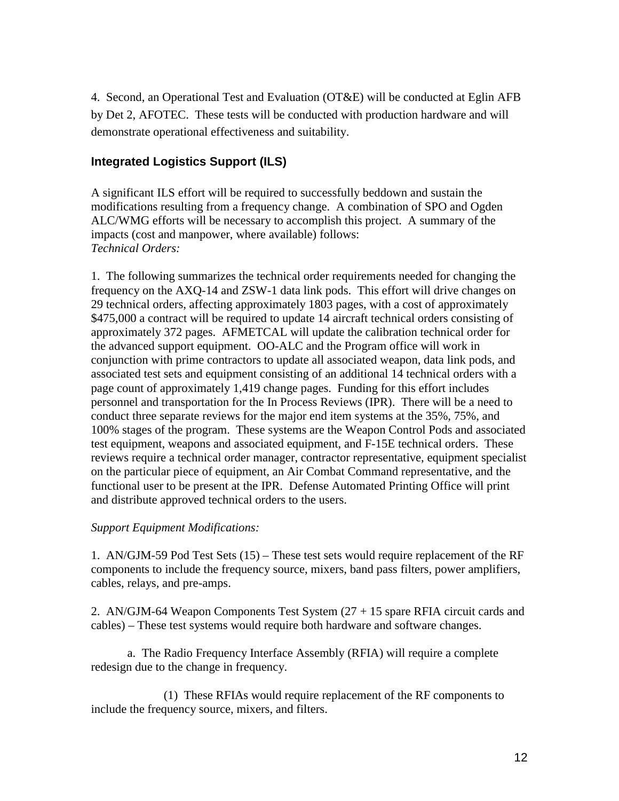<span id="page-11-0"></span>4. Second, an Operational Test and Evaluation (OT&E) will be conducted at Eglin AFB by Det 2, AFOTEC. These tests will be conducted with production hardware and will demonstrate operational effectiveness and suitability.

## **Integrated Logistics Support (ILS)**

A significant ILS effort will be required to successfully beddown and sustain the modifications resulting from a frequency change. A combination of SPO and Ogden ALC/WMG efforts will be necessary to accomplish this project. A summary of the impacts (cost and manpower, where available) follows: *Technical Orders:*

1. The following summarizes the technical order requirements needed for changing the frequency on the AXQ-14 and ZSW-1 data link pods. This effort will drive changes on 29 technical orders, affecting approximately 1803 pages, with a cost of approximately \$475,000 a contract will be required to update 14 aircraft technical orders consisting of approximately 372 pages. AFMETCAL will update the calibration technical order for the advanced support equipment. OO-ALC and the Program office will work in conjunction with prime contractors to update all associated weapon, data link pods, and associated test sets and equipment consisting of an additional 14 technical orders with a page count of approximately 1,419 change pages. Funding for this effort includes personnel and transportation for the In Process Reviews (IPR). There will be a need to conduct three separate reviews for the major end item systems at the 35%, 75%, and 100% stages of the program. These systems are the Weapon Control Pods and associated test equipment, weapons and associated equipment, and F-15E technical orders. These reviews require a technical order manager, contractor representative, equipment specialist on the particular piece of equipment, an Air Combat Command representative, and the functional user to be present at the IPR. Defense Automated Printing Office will print and distribute approved technical orders to the users.

### *Support Equipment Modifications:*

1. AN/GJM-59 Pod Test Sets (15) – These test sets would require replacement of the RF components to include the frequency source, mixers, band pass filters, power amplifiers, cables, relays, and pre-amps.

2. AN/GJM-64 Weapon Components Test System (27 + 15 spare RFIA circuit cards and cables) – These test systems would require both hardware and software changes.

a. The Radio Frequency Interface Assembly (RFIA) will require a complete redesign due to the change in frequency.

(1) These RFIAs would require replacement of the RF components to include the frequency source, mixers, and filters.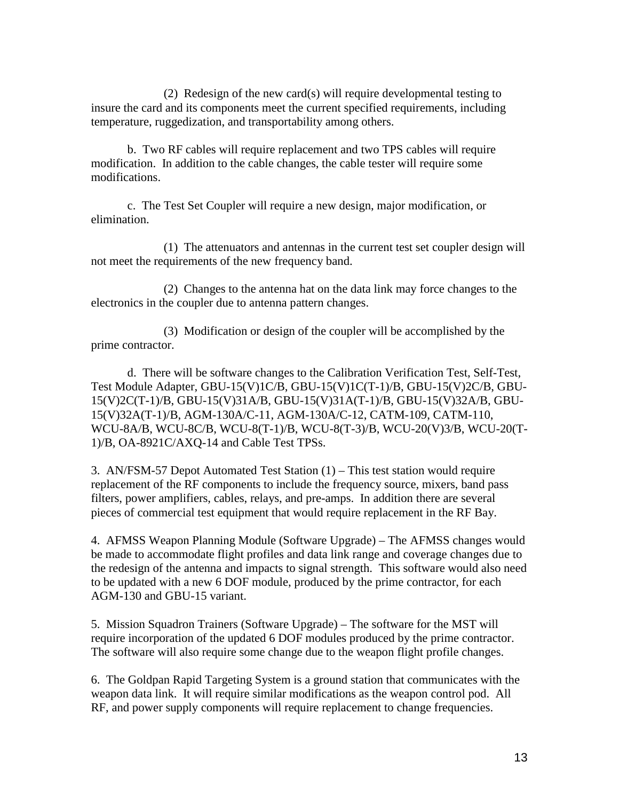(2) Redesign of the new card(s) will require developmental testing to insure the card and its components meet the current specified requirements, including temperature, ruggedization, and transportability among others.

b. Two RF cables will require replacement and two TPS cables will require modification. In addition to the cable changes, the cable tester will require some modifications.

c. The Test Set Coupler will require a new design, major modification, or elimination.

(1) The attenuators and antennas in the current test set coupler design will not meet the requirements of the new frequency band.

(2) Changes to the antenna hat on the data link may force changes to the electronics in the coupler due to antenna pattern changes.

(3) Modification or design of the coupler will be accomplished by the prime contractor.

d. There will be software changes to the Calibration Verification Test, Self-Test, Test Module Adapter, GBU-15(V)1C/B, GBU-15(V)1C(T-1)/B, GBU-15(V)2C/B, GBU-15(V)2C(T-1)/B, GBU-15(V)31A/B, GBU-15(V)31A(T-1)/B, GBU-15(V)32A/B, GBU-15(V)32A(T-1)/B, AGM-130A/C-11, AGM-130A/C-12, CATM-109, CATM-110, WCU-8A/B, WCU-8C/B, WCU-8(T-1)/B, WCU-8(T-3)/B, WCU-20(V)3/B, WCU-20(T-1)/B, OA-8921C/AXQ-14 and Cable Test TPSs.

3. AN/FSM-57 Depot Automated Test Station (1) – This test station would require replacement of the RF components to include the frequency source, mixers, band pass filters, power amplifiers, cables, relays, and pre-amps. In addition there are several pieces of commercial test equipment that would require replacement in the RF Bay.

4. AFMSS Weapon Planning Module (Software Upgrade) – The AFMSS changes would be made to accommodate flight profiles and data link range and coverage changes due to the redesign of the antenna and impacts to signal strength. This software would also need to be updated with a new 6 DOF module, produced by the prime contractor, for each AGM-130 and GBU-15 variant.

5. Mission Squadron Trainers (Software Upgrade) – The software for the MST will require incorporation of the updated 6 DOF modules produced by the prime contractor. The software will also require some change due to the weapon flight profile changes.

6. The Goldpan Rapid Targeting System is a ground station that communicates with the weapon data link. It will require similar modifications as the weapon control pod. All RF, and power supply components will require replacement to change frequencies.